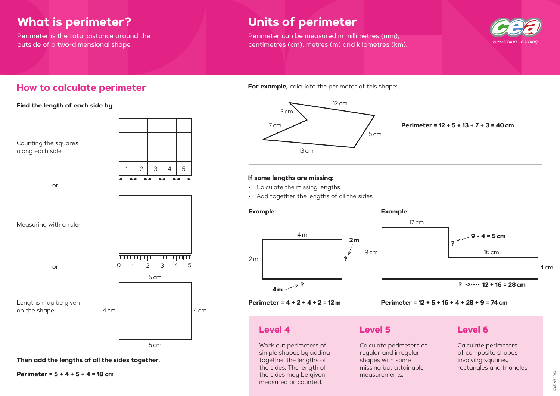## **What is perimeter?**

Perimeter is the total distance around the outside of a two-dimensional shape.

## **Units of perimeter**

Perimeter can be measured in millimetres (mm), centimetres (cm), metres (m) and kilometres (km).

## **How to calculate perimeter**

**Find the length of each side by:**



**Then add the lengths of all the sides together.**

**Perimeter = 5 + 4 + 5 + 4 = 18 cm**

#### **Perimeter = 12 + 5 + 13 + 7 + 3 = 40cm**

**For example,** calculate the perimeter of this shape:

Calculate perimeters of regular and irregular shapes with some missing but attainable measurements.







### **If some lengths are missing:**



- Calculate the missing lengths
- Add together the lengths of all the sides

#### **Perimeter = 12 + 5 + 16 + 4 + 28 + 9 = 74cm**



## **Level 4**

Work out perimeters of simple shapes by adding together the lengths of the sides. The length of the sides may be given, measured or counted.

## **Level 5**

## **Level 6**

| Σf | Calculate perimeters      |
|----|---------------------------|
|    | of composite shapes       |
|    | involving squares,        |
|    | rectangles and triangles. |